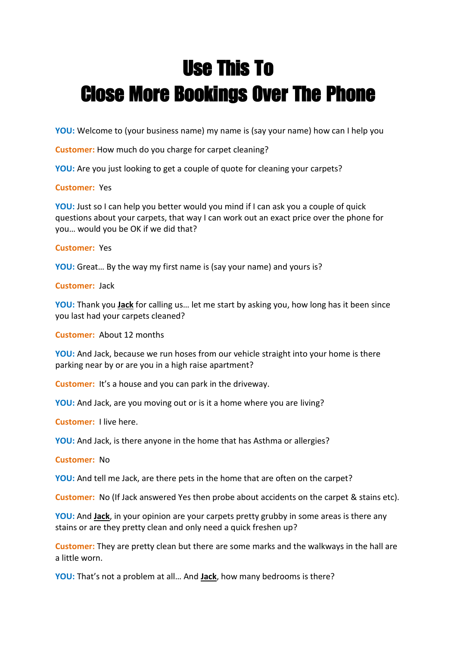# **Use This To Close More Bookings Over The Phone**

**YOU:** Welcome to (your business name) my name is (say your name) how can I help you

**Customer:** How much do you charge for carpet cleaning?

**YOU:** Are you just looking to get a couple of quote for cleaning your carpets?

### **Customer:** Yes

**YOU:** Just so I can help you better would you mind if I can ask you a couple of quick questions about your carpets, that way I can work out an exact price over the phone for you… would you be OK if we did that?

## **Customer:** Yes

**YOU:** Great… By the way my first name is (say your name) and yours is?

**Customer:** Jack

**YOU:** Thank you **Jack** for calling us… let me start by asking you, how long has it been since you last had your carpets cleaned?

**Customer:** About 12 months

**YOU:** And Jack, because we run hoses from our vehicle straight into your home is there parking near by or are you in a high raise apartment?

**Customer:** It's a house and you can park in the driveway.

**YOU:** And Jack, are you moving out or is it a home where you are living?

**Customer:** I live here.

**YOU:** And Jack, is there anyone in the home that has Asthma or allergies?

**Customer:** No

**YOU:** And tell me Jack, are there pets in the home that are often on the carpet?

**Customer:** No (If Jack answered Yes then probe about accidents on the carpet & stains etc).

**YOU:** And **Jack**, in your opinion are your carpets pretty grubby in some areas is there any stains or are they pretty clean and only need a quick freshen up?

**Customer:** They are pretty clean but there are some marks and the walkways in the hall are a little worn.

**YOU:** That's not a problem at all… And **Jack**, how many bedrooms is there?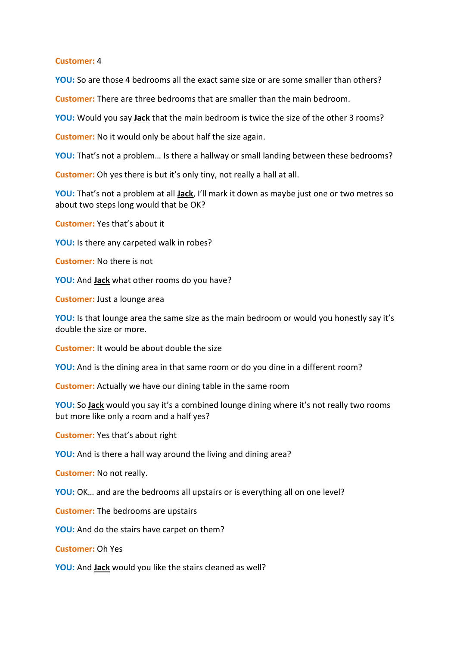#### **Customer:** 4

**YOU:** So are those 4 bedrooms all the exact same size or are some smaller than others?

**Customer:** There are three bedrooms that are smaller than the main bedroom.

**YOU:** Would you say **Jack** that the main bedroom is twice the size of the other 3 rooms?

**Customer:** No it would only be about half the size again.

**YOU:** That's not a problem… Is there a hallway or small landing between these bedrooms?

**Customer:** Oh yes there is but it's only tiny, not really a hall at all.

**YOU:** That's not a problem at all **Jack**, I'll mark it down as maybe just one or two metres so about two steps long would that be OK?

**Customer:** Yes that's about it

**YOU:** Is there any carpeted walk in robes?

**Customer:** No there is not

**YOU:** And **Jack** what other rooms do you have?

**Customer:** Just a lounge area

**YOU:** Is that lounge area the same size as the main bedroom or would you honestly say it's double the size or more.

**Customer:** It would be about double the size

**YOU:** And is the dining area in that same room or do you dine in a different room?

**Customer:** Actually we have our dining table in the same room

**YOU:** So **Jack** would you say it's a combined lounge dining where it's not really two rooms but more like only a room and a half yes?

**Customer:** Yes that's about right

**YOU:** And is there a hall way around the living and dining area?

**Customer:** No not really.

**YOU:** OK… and are the bedrooms all upstairs or is everything all on one level?

**Customer:** The bedrooms are upstairs

**YOU:** And do the stairs have carpet on them?

**Customer:** Oh Yes

**YOU:** And **Jack** would you like the stairs cleaned as well?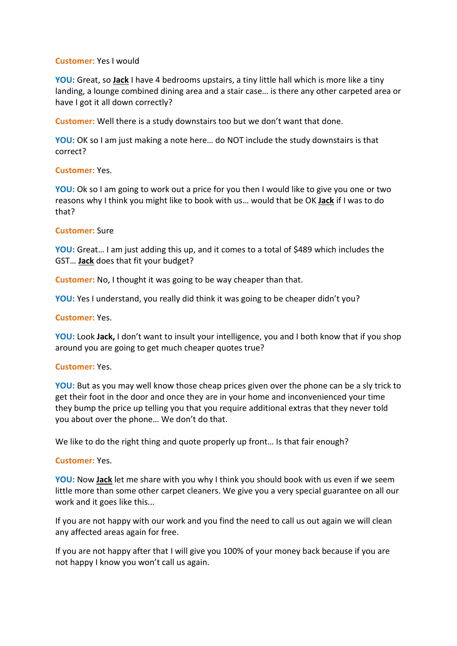#### **Customer:** Yes I would

**YOU:** Great, so **Jack** I have 4 bedrooms upstairs, a tiny little hall which is more like a tiny landing, a lounge combined dining area and a stair case… is there any other carpeted area or have I got it all down correctly?

**Customer:** Well there is a study downstairs too but we don't want that done.

**YOU:** OK so I am just making a note here… do NOT include the study downstairs is that correct?

#### **Customer:** Yes.

**YOU:** Ok so I am going to work out a price for you then I would like to give you one or two reasons why I think you might like to book with us… would that be OK **Jack** if I was to do that?

#### **Customer:** Sure

**YOU:** Great… I am just adding this up, and it comes to a total of \$489 which includes the GST… **Jack** does that fit your budget?

**Customer:** No, I thought it was going to be way cheaper than that.

**YOU:** Yes I understand, you really did think it was going to be cheaper didn't you?

#### **Customer:** Yes.

**YOU:** Look **Jack,** I don't want to insult your intelligence, you and I both know that if you shop around you are going to get much cheaper quotes true?

#### **Customer:** Yes.

**YOU:** But as you may well know those cheap prices given over the phone can be a sly trick to get their foot in the door and once they are in your home and inconvenienced your time they bump the price up telling you that you require additional extras that they never told you about over the phone… We don't do that.

We like to do the right thing and quote properly up front... Is that fair enough?

#### **Customer:** Yes.

**YOU:** Now **Jack** let me share with you why I think you should book with us even if we seem little more than some other carpet cleaners. We give you a very special guarantee on all our work and it goes like this...

If you are not happy with our work and you find the need to call us out again we will clean any affected areas again for free.

If you are not happy after that I will give you 100% of your money back because if you are not happy I know you won't call us again.